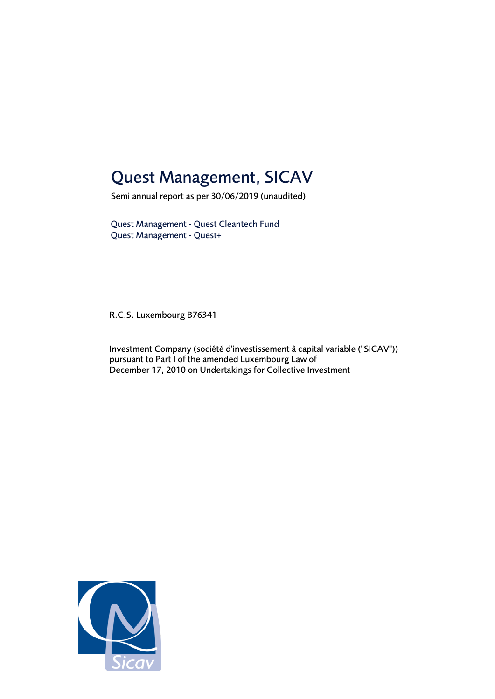## Quest Management, SICAV

Semi annual report as per 30/06/2019 (unaudited)

Quest Management - Quest Cleantech Fund Quest Management - Quest+

R.C.S. Luxembourg B76341

Investment Company (société d'investissement à capital variable ("SICAV")) pursuant to Part I of the amended Luxembourg Law of December 17, 2010 on Undertakings for Collective Investment

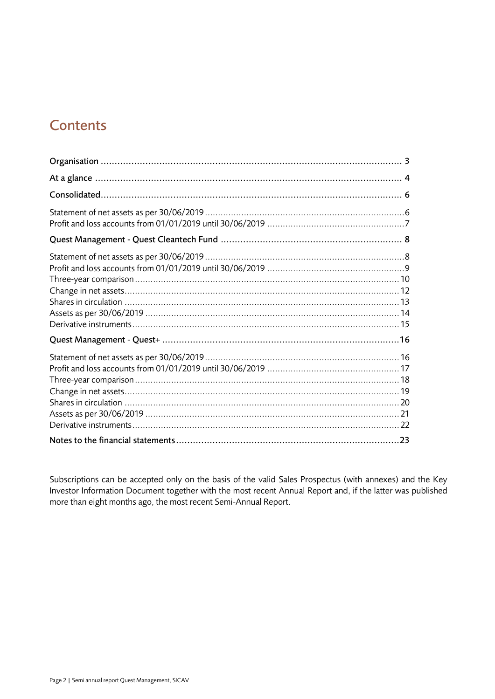### **Contents**

Subscriptions can be accepted only on the basis of the valid Sales Prospectus (with annexes) and the Key Investor Information Document together with the most recent Annual Report and, if the latter was published more than eight months ago, the most recent Semi-Annual Report.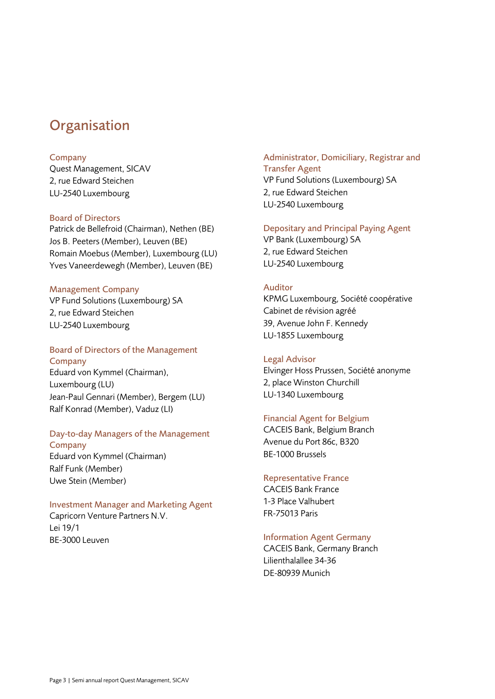### <span id="page-2-0"></span>**Organisation**

#### Company

Quest Management, SICAV 2, rue Edward Steichen LU-2540 Luxembourg

#### Board of Directors

Patrick de Bellefroid (Chairman), Nethen (BE) Jos B. Peeters (Member), Leuven (BE) Romain Moebus (Member), Luxembourg (LU) Yves Vaneerdewegh (Member), Leuven (BE)

#### Management Company

VP Fund Solutions (Luxembourg) SA 2, rue Edward Steichen LU-2540 Luxembourg

### Board of Directors of the Management

**Company** Eduard von Kymmel (Chairman), Luxembourg (LU) Jean-Paul Gennari (Member), Bergem (LU) Ralf Konrad (Member), Vaduz (LI)

### Day-to-day Managers of the Management

**Company** Eduard von Kymmel (Chairman) Ralf Funk (Member) Uwe Stein (Member)

#### Investment Manager and Marketing Agent

Capricorn Venture Partners N.V. Lei 19/1 BE-3000 Leuven

### Administrator, Domiciliary, Registrar and Transfer Agent

VP Fund Solutions (Luxembourg) SA 2, rue Edward Steichen LU-2540 Luxembourg

#### Depositary and Principal Paying Agent

VP Bank (Luxembourg) SA 2, rue Edward Steichen LU-2540 Luxembourg

#### Auditor

KPMG Luxembourg, Société coopérative Cabinet de révision agréé 39, Avenue John F. Kennedy LU-1855 Luxembourg

#### Legal Advisor

Elvinger Hoss Prussen, Société anonyme 2, place Winston Churchill LU-1340 Luxembourg

#### Financial Agent for Belgium

CACEIS Bank, Belgium Branch Avenue du Port 86c, B320 BE-1000 Brussels

#### Representative France

CACEIS Bank France 1-3 Place Valhubert FR-75013 Paris

#### Information Agent Germany

CACEIS Bank, Germany Branch Lilienthalallee 34-36 DE-80939 Munich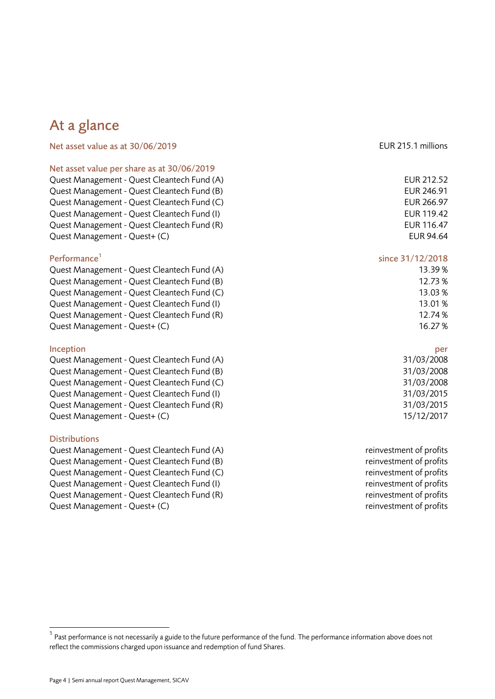### <span id="page-3-0"></span>At a glance

| Net asset value as at 30/06/2019            | EUR 215.1 millions |
|---------------------------------------------|--------------------|
| Net asset value per share as at 30/06/2019  |                    |
| Quest Management - Quest Cleantech Fund (A) | EUR 212.52         |
| Quest Management - Quest Cleantech Fund (B) | EUR 246.91         |
| Quest Management - Quest Cleantech Fund (C) | EUR 266.97         |
| Quest Management - Quest Cleantech Fund (I) | EUR 119.42         |
| Quest Management - Quest Cleantech Fund (R) | EUR 116.47         |
| Quest Management - Quest+ (C)               | <b>EUR 94.64</b>   |
| Performance <sup>1</sup>                    | since 31/12/2018   |
| Quest Management - Quest Cleantech Fund (A) | 13.39%             |
| Quest Management - Quest Cleantech Fund (B) | 12.73 %            |
| Quest Management - Quest Cleantech Fund (C) | 13.03 %            |
| Quest Management - Quest Cleantech Fund (I) | 13.01 %            |

Quest Management - Quest Cleantech Fund (R) 12.74 % Quest Management - Quest+ (C) 16.27 %

Inception per the control of the control of the control of the control of the control of the control of the control of the control of the control of the control of the control of the control of the control of the control o

Quest Management - Quest Cleantech Fund (A) 31/03/2008 Quest Management - Quest Cleantech Fund (B) 31/03/2008 Quest Management - Quest Cleantech Fund (C) 31/03/2008 Quest Management - Quest Cleantech Fund (I) 31/03/2015 Quest Management - Quest Cleantech Fund (R) 31/03/2015 Quest Management - Quest+ (C) 15/12/2017

#### **Distributions**

 $\overline{a}$ 

| Quest Management - Quest Cleantech Fund (A) |
|---------------------------------------------|
| Quest Management - Quest Cleantech Fund (B) |
| Quest Management - Quest Cleantech Fund (C) |
| Quest Management - Quest Cleantech Fund (I) |
| Quest Management - Quest Cleantech Fund (R) |
| Quest Management - Quest+ (C)               |

reinvestment of profits reinvestment of profits reinvestment of profits reinvestment of profits reinvestment of profits reinvestment of profits

 $^{\rm 1}$  Past performance is not necessarily a guide to the future performance of the fund. The performance information above does not reflect the commissions charged upon issuance and redemption of fund Shares.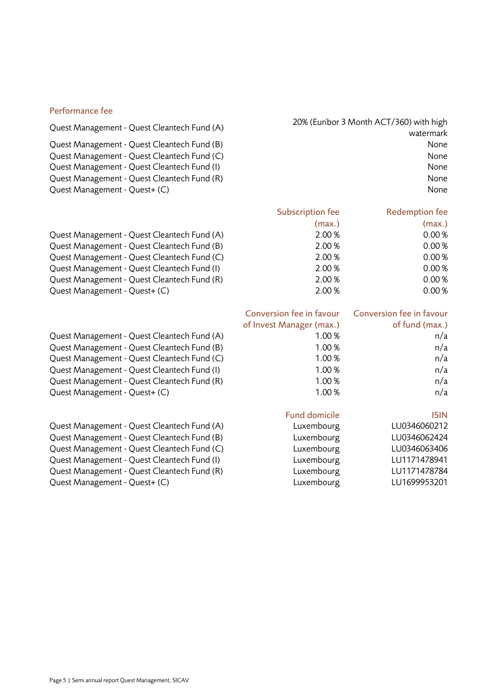#### Performance fee

Quest Management - Quest Cleantech Fund (B) None Quest Management - Quest Cleantech Fund (C) None Quest Management - Quest Cleantech Fund (I) None Quest Management - Quest Cleantech Fund (R) None None None None None None Quest Management - Quest+ (C) None

- Quest Management Quest Cleantech Fund (A)  $2.00\%$  2.00 % 0.00 % Quest Management - Quest Cleantech Fund (B)  $2.00\%$  2.00 % 0.00 % Quest Management - Quest Cleantech Fund (C)  $2.00\%$  0.00 % Quest Management - Quest Cleantech Fund (I)  $2.00\%$  2.00 % 0.00 % Quest Management - Quest Cleantech Fund (R)  $2.00\%$  2.00 % 0.00 % Quest Management - Quest+ (C) 2.00 % 0.00 %
- Quest Management Quest Cleantech Quest Management - Quest Cleantech Quest Management - Quest Cleantech Quest Management - Quest Cleantech Quest Management - Quest Cleantech Quest Management - Quest+ (C).
- Quest Management Quest Cleantech Quest Management - Quest Cleantech Quest Management - Quest Cleantech Quest Management - Quest Cleantech Quest Management - Quest Cleantech Quest Management - Quest+ (C) Luxembourg LU1699953201

Quest Management - Quest Cleantech Fund (A) 20% (Euribor 3 Month ACT/360) with high watermark

| <b>Subscription fee</b> | <b>Redemption fee</b> |
|-------------------------|-----------------------|
| (max.)                  | (max.)                |
| 2.00%                   | 0.00%                 |
| 2.00%                   | 0.00%                 |
| 2.00%                   | 0.00%                 |
| 2.00%                   | 0.00%                 |
| 2.00%                   | 0.00%                 |
| 3.00 Q                  | $\sim$ $\sim$ $\sim$  |

|            | <b>Conversion fee in favour</b> | <b>Conversion fee in favour</b> |
|------------|---------------------------------|---------------------------------|
|            | of Invest Manager (max.)        | of fund (max.)                  |
| Fund (A)   | 1.00%                           | n/a                             |
| Fund (B)   | 1.00%                           | n/a                             |
| Fund $(C)$ | 1.00%                           | n/a                             |
| Fund (I)   | 1.00%                           | n/a                             |
| Fund (R)   | 1.00%                           | n/a                             |
|            | 1.00%                           | n/a                             |
|            | <b>Fund domicile</b>            | <b>ISIN</b>                     |
| Fund (A)   | Luxembourg                      | LU0346060212                    |
| Fund (B)   | Luxembourg                      | LU0346062424                    |
| Fund $(C)$ | Luxembourg                      | LU0346063406                    |
| Fund (I)   | Luxembourg                      | LU1171478941                    |
| Fund (R)   | Luxembourg                      | LU1171478784                    |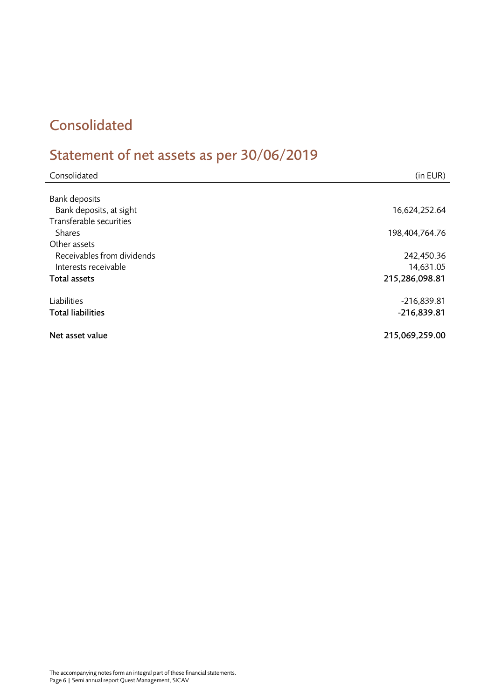### <span id="page-5-0"></span>Consolidated

# <span id="page-5-1"></span>Statement of net assets as per 30/06/2019

| Consolidated               | (in EUR)       |
|----------------------------|----------------|
|                            |                |
| <b>Bank deposits</b>       |                |
| Bank deposits, at sight    | 16,624,252.64  |
| Transferable securities    |                |
| <b>Shares</b>              | 198,404,764.76 |
| Other assets               |                |
| Receivables from dividends | 242,450.36     |
| Interests receivable       | 14,631.05      |
| Total assets               | 215,286,098.81 |
|                            |                |
| Liabilities                | $-216,839.81$  |
| <b>Total liabilities</b>   | $-216,839.81$  |
|                            |                |
| Net asset value            | 215,069,259.00 |
|                            |                |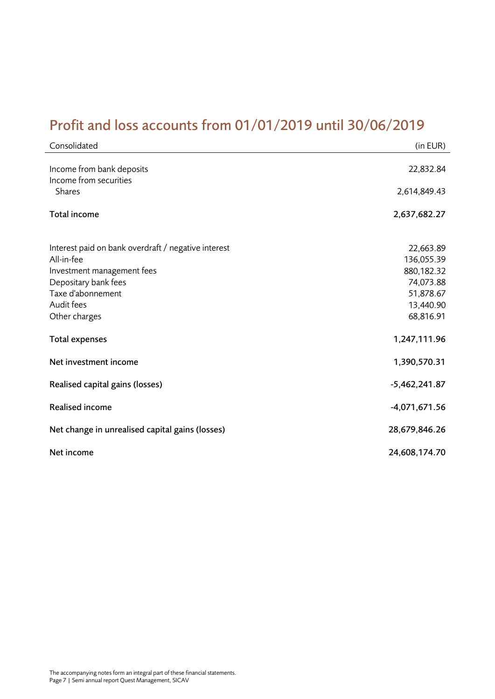## <span id="page-6-0"></span>Profit and loss accounts from 01/01/2019 until 30/06/2019

| Consolidated                                                      | (in EUR)                |
|-------------------------------------------------------------------|-------------------------|
| Income from bank deposits<br>Income from securities               | 22,832.84               |
| <b>Shares</b>                                                     | 2,614,849.43            |
| Total income                                                      | 2,637,682.27            |
| Interest paid on bank overdraft / negative interest<br>All-in-fee | 22,663.89<br>136,055.39 |
| Investment management fees                                        | 880,182.32              |
| Depositary bank fees                                              | 74,073.88               |
| Taxe d'abonnement                                                 | 51,878.67               |
| Audit fees                                                        | 13,440.90               |
| Other charges                                                     | 68,816.91               |
| Total expenses                                                    | 1,247,111.96            |
| Net investment income                                             | 1,390,570.31            |
| Realised capital gains (losses)                                   | $-5,462,241.87$         |
| <b>Realised income</b>                                            | $-4,071,671.56$         |
| Net change in unrealised capital gains (losses)                   | 28,679,846.26           |
| Net income                                                        | 24,608,174.70           |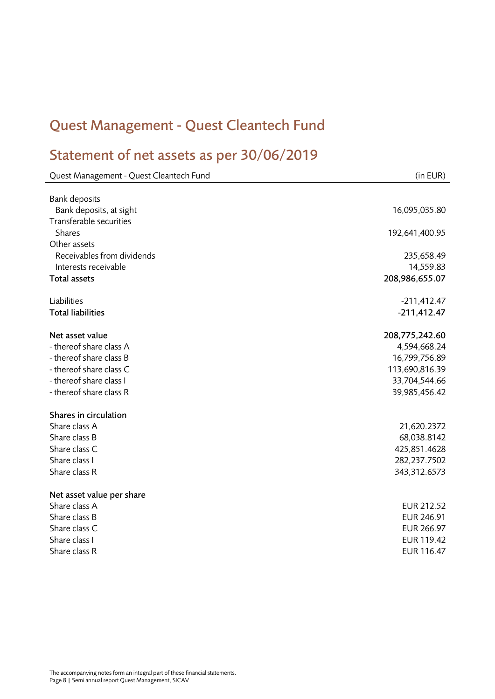# <span id="page-7-0"></span>Quest Management - Quest Cleantech Fund

# <span id="page-7-1"></span>Statement of net assets as per 30/06/2019

| Quest Management - Quest Cleantech Fund | (in EUR)       |
|-----------------------------------------|----------------|
|                                         |                |
| <b>Bank deposits</b>                    |                |
| Bank deposits, at sight                 | 16,095,035.80  |
| Transferable securities                 |                |
| <b>Shares</b>                           | 192,641,400.95 |
| Other assets                            |                |
| Receivables from dividends              | 235,658.49     |
| Interests receivable                    | 14,559.83      |
| <b>Total assets</b>                     | 208,986,655.07 |
| Liabilities                             | $-211,412.47$  |
| <b>Total liabilities</b>                | $-211,412.47$  |
| Net asset value                         | 208,775,242.60 |
| - thereof share class A                 | 4,594,668.24   |
| - thereof share class B                 | 16,799,756.89  |
| - thereof share class C                 | 113,690,816.39 |
| - thereof share class I                 | 33,704,544.66  |
| - thereof share class R                 | 39,985,456.42  |
| Shares in circulation                   |                |
| Share class A                           | 21,620.2372    |
| Share class B                           | 68,038.8142    |
| Share class C                           | 425,851.4628   |
| Share class I                           | 282,237.7502   |
| Share class R                           | 343,312.6573   |
| Net asset value per share               |                |
| Share class A                           | EUR 212.52     |
| Share class B                           | EUR 246.91     |
| Share class C                           | EUR 266.97     |
| Share class I                           | EUR 119.42     |
| Share class R                           | EUR 116.47     |
|                                         |                |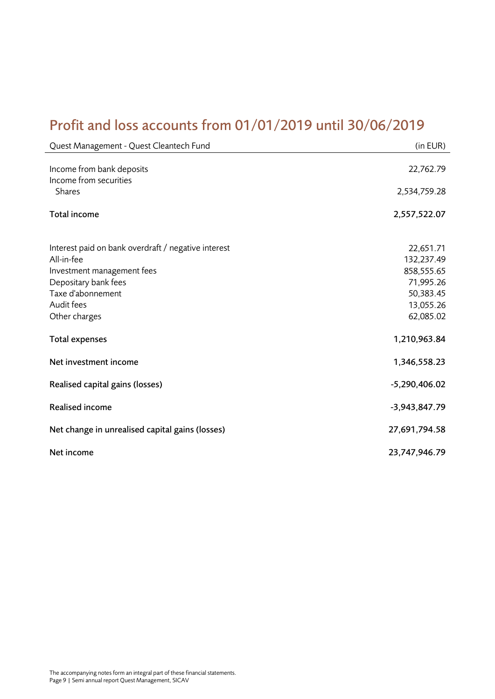## <span id="page-8-0"></span>Profit and loss accounts from 01/01/2019 until 30/06/2019

| Quest Management - Quest Cleantech Fund             | (in EUR)        |
|-----------------------------------------------------|-----------------|
| Income from bank deposits<br>Income from securities | 22,762.79       |
| <b>Shares</b>                                       | 2,534,759.28    |
| Total income                                        | 2,557,522.07    |
| Interest paid on bank overdraft / negative interest | 22,651.71       |
| All-in-fee                                          | 132,237.49      |
| Investment management fees                          | 858,555.65      |
| Depositary bank fees                                | 71,995.26       |
| Taxe d'abonnement                                   | 50,383.45       |
| Audit fees                                          | 13,055.26       |
| Other charges                                       | 62,085.02       |
| Total expenses                                      | 1,210,963.84    |
| Net investment income                               | 1,346,558.23    |
| Realised capital gains (losses)                     | $-5,290,406.02$ |
| <b>Realised income</b>                              | $-3,943,847.79$ |
| Net change in unrealised capital gains (losses)     | 27,691,794.58   |
| Net income                                          | 23,747,946.79   |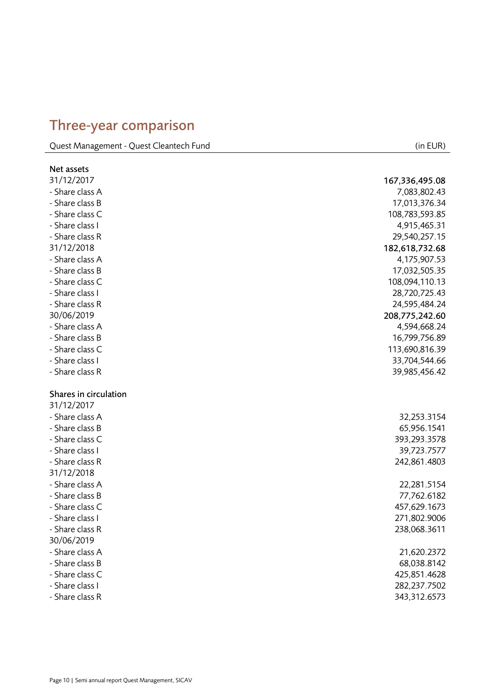### <span id="page-9-0"></span>Three -year comparison

Quest Management - Quest Cleantech Fund (in EUR)

| Net assets            |                |
|-----------------------|----------------|
| 31/12/2017            | 167,336,495.08 |
| - Share class A       | 7,083,802.43   |
| - Share class B       | 17,013,376.34  |
| - Share class C       | 108,783,593.85 |
| - Share class I       | 4,915,465.31   |
| - Share class R       | 29,540,257.15  |
| 31/12/2018            | 182,618,732.68 |
| - Share class A       | 4,175,907.53   |
| - Share class B       | 17,032,505.35  |
| - Share class C       | 108,094,110.13 |
| - Share class I       | 28,720,725.43  |
| - Share class R       | 24,595,484.24  |
| 30/06/2019            | 208,775,242.60 |
| - Share class A       | 4,594,668.24   |
| - Share class B       | 16,799,756.89  |
| - Share class C       | 113,690,816.39 |
| - Share class I       | 33,704,544.66  |
| - Share class R       | 39,985,456.42  |
|                       |                |
| Shares in circulation |                |
| 31/12/2017            |                |
| - Share class A       | 32,253.3154    |
| - Share class B       | 65,956.1541    |
| - Share class C       | 393,293.3578   |
| - Share class I       | 39,723.7577    |
| - Share class R       | 242,861.4803   |
| 31/12/2018            |                |
| - Share class A       | 22,281.5154    |
| - Share class B       | 77,762.6182    |
| - Share class C       | 457,629.1673   |
| - Share class I       | 271,802.9006   |
| - Share class R       | 238,068.3611   |
| 30/06/2019            |                |
| - Share class A       | 21,620.2372    |
| - Share class B       | 68,038.8142    |
| - Share class C       | 425,851.4628   |
| - Share class I       | 282,237.7502   |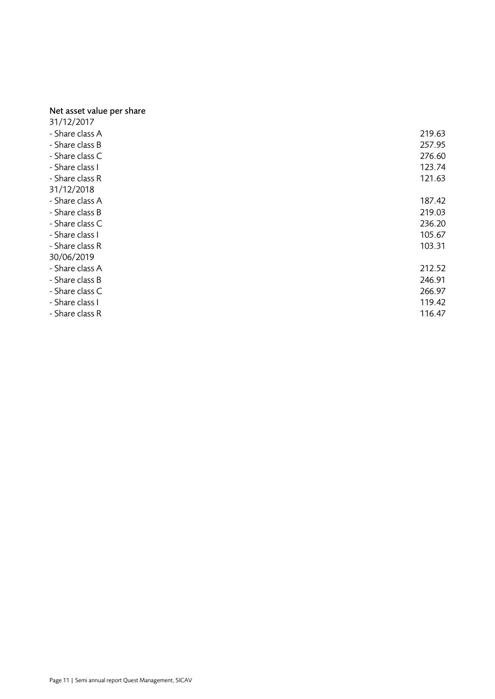#### Net asset value per share

| 31/12/2017      |        |
|-----------------|--------|
| - Share class A | 219.63 |
| - Share class B | 257.95 |
| - Share class C | 276.60 |
| - Share class I | 123.74 |
| - Share class R | 121.63 |
| 31/12/2018      |        |
| - Share class A | 187.42 |
| - Share class B | 219.03 |
| - Share class C | 236.20 |
| - Share class I | 105.67 |
| - Share class R | 103.31 |
| 30/06/2019      |        |
| - Share class A | 212.52 |
| - Share class B | 246.91 |
| - Share class C | 266.97 |
| - Share class I | 119.42 |
| - Share class R | 116.47 |
|                 |        |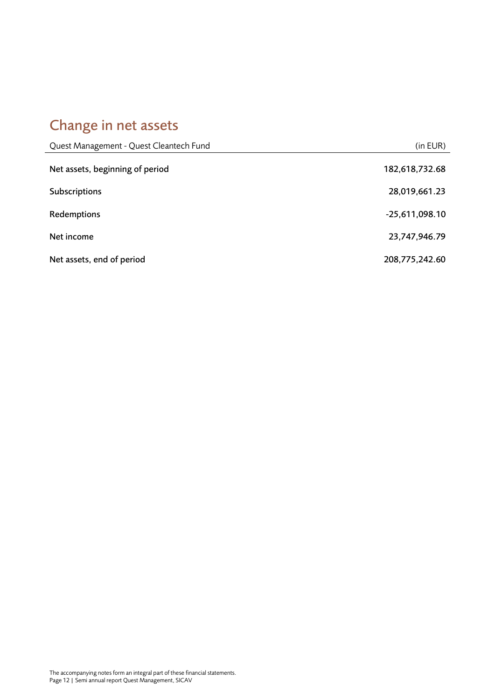# <span id="page-11-0"></span>Change in net assets

| Quest Management - Quest Cleantech Fund | (in EUR)         |
|-----------------------------------------|------------------|
| Net assets, beginning of period         | 182,618,732.68   |
| <b>Subscriptions</b>                    | 28,019,661.23    |
| Redemptions                             | $-25,611,098.10$ |
| Net income                              | 23,747,946.79    |
| Net assets, end of period               | 208,775,242.60   |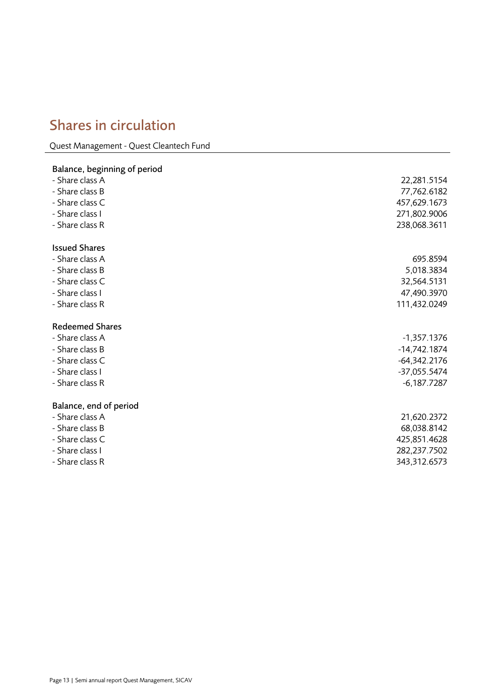### <span id="page-12-0"></span>Shares in circulation

Quest Management - Quest Cleantech Fund

### Balance, beginning of period - Share class A 22,281.5154 - Share class B 77,762.6182 - Share class C 457,629.1673 - Share class I 271,802.9006 - Share class R 238,068.3611 Issued Shares - Share class A 695.8594 - Share class B 5,018.3834 - Share class C 32,564.5131 - Share class I 47,490.3970 - Share class R 111,432.0249 Redeemed Shares - Share class A -1,357.1376 - Share class B -14,742.1874 - Share class C -64,342.2176 - Share class I -37,055.5474 - Share class R -6,187.7287 Balance, end of period - Share class A 21,620.2372 - Share class B 68,038.8142 - Share class C 425,851.4628 - Share class I 282,237.7502 - Share class R 343,312.6573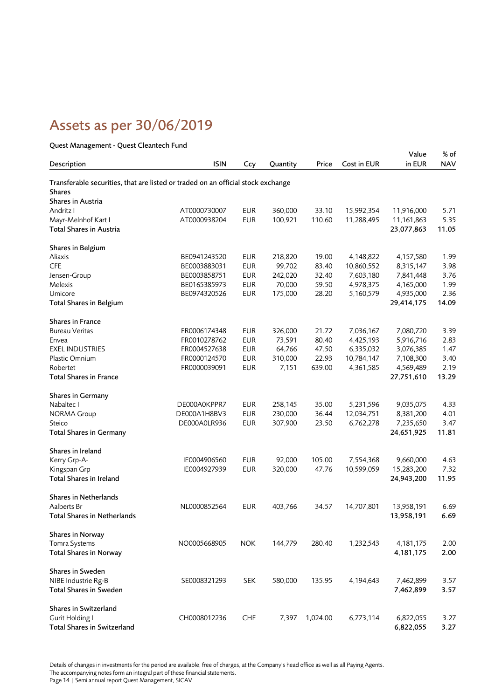# <span id="page-13-0"></span>Assets as per 30/06/2019

#### Quest Management - Quest Cleantech Fund

|                                                                                  |              |            |          |          |             | Value      | % of       |
|----------------------------------------------------------------------------------|--------------|------------|----------|----------|-------------|------------|------------|
| Description                                                                      | <b>ISIN</b>  | Ccy        | Quantity | Price    | Cost in EUR | in EUR     | <b>NAV</b> |
| Transferable securities, that are listed or traded on an official stock exchange |              |            |          |          |             |            |            |
| <b>Shares</b>                                                                    |              |            |          |          |             |            |            |
| Shares in Austria                                                                |              |            |          |          |             |            |            |
| Andritz I                                                                        | AT0000730007 | <b>EUR</b> | 360,000  | 33.10    | 15,992,354  | 11,916,000 | 5.71       |
| Mayr-Melnhof Kart I                                                              | AT0000938204 | <b>EUR</b> | 100,921  | 110.60   | 11,288,495  | 11,161,863 | 5.35       |
| <b>Total Shares in Austria</b>                                                   |              |            |          |          |             | 23,077,863 | 11.05      |
| Shares in Belgium                                                                |              |            |          |          |             |            |            |
| Aliaxis                                                                          | BE0941243520 | <b>EUR</b> | 218,820  | 19.00    | 4,148,822   | 4,157,580  | 1.99       |
| <b>CFE</b>                                                                       | BE0003883031 | <b>EUR</b> | 99,702   | 83.40    | 10,860,552  | 8,315,147  | 3.98       |
| Jensen-Group                                                                     | BE0003858751 | <b>EUR</b> | 242,020  | 32.40    | 7,603,180   | 7,841,448  | 3.76       |
| Melexis                                                                          | BE0165385973 | <b>EUR</b> | 70,000   | 59.50    | 4,978,375   | 4,165,000  | 1.99       |
| Umicore                                                                          | BE0974320526 | <b>EUR</b> | 175,000  | 28.20    | 5,160,579   | 4,935,000  | 2.36       |
| <b>Total Shares in Belgium</b>                                                   |              |            |          |          |             | 29,414,175 | 14.09      |
| <b>Shares in France</b>                                                          |              |            |          |          |             |            |            |
| <b>Bureau Veritas</b>                                                            | FR0006174348 | <b>EUR</b> | 326,000  | 21.72    | 7,036,167   | 7,080,720  | 3.39       |
|                                                                                  | FR0010278762 | <b>EUR</b> |          |          |             |            |            |
| Envea                                                                            |              |            | 73,591   | 80.40    | 4,425,193   | 5,916,716  | 2.83       |
| <b>EXEL INDUSTRIES</b>                                                           | FR0004527638 | <b>EUR</b> | 64,766   | 47.50    | 6,335,032   | 3,076,385  | 1.47       |
| Plastic Omnium                                                                   | FR0000124570 | <b>EUR</b> | 310,000  | 22.93    | 10,784,147  | 7,108,300  | 3.40       |
| Robertet                                                                         | FR0000039091 | <b>EUR</b> | 7,151    | 639.00   | 4,361,585   | 4,569,489  | 2.19       |
| <b>Total Shares in France</b>                                                    |              |            |          |          |             | 27,751,610 | 13.29      |
| Shares in Germany                                                                |              |            |          |          |             |            |            |
| Nabaltec I                                                                       | DE000A0KPPR7 | <b>EUR</b> | 258,145  | 35.00    | 5,231,596   | 9,035,075  | 4.33       |
| NORMA Group                                                                      | DE000A1H8BV3 | <b>EUR</b> | 230,000  | 36.44    | 12,034,751  | 8,381,200  | 4.01       |
| Steico                                                                           | DE000A0LR936 | <b>EUR</b> | 307,900  | 23.50    | 6,762,278   | 7,235,650  | 3.47       |
| <b>Total Shares in Germany</b>                                                   |              |            |          |          |             | 24,651,925 | 11.81      |
| Shares in Ireland                                                                |              |            |          |          |             |            |            |
| Kerry Grp-A-                                                                     | IE0004906560 | <b>EUR</b> | 92,000   | 105.00   | 7,554,368   | 9,660,000  | 4.63       |
| Kingspan Grp                                                                     | IE0004927939 | <b>EUR</b> | 320,000  | 47.76    | 10,599,059  | 15,283,200 | 7.32       |
| Total Shares in Ireland                                                          |              |            |          |          |             | 24,943,200 | 11.95      |
| <b>Shares in Netherlands</b>                                                     |              |            |          |          |             |            |            |
| Aalberts Br                                                                      | NL0000852564 | <b>EUR</b> | 403,766  | 34.57    | 14,707,801  | 13,958,191 | 6.69       |
| <b>Total Shares in Netherlands</b>                                               |              |            |          |          |             | 13,958,191 | 6.69       |
| Shares in Norway                                                                 |              |            |          |          |             |            |            |
| Tomra Systems                                                                    | NO0005668905 | <b>NOK</b> | 144,779  | 280.40   | 1,232,543   | 4,181,175  | 2.00       |
| <b>Total Shares in Norway</b>                                                    |              |            |          |          |             | 4,181,175  | 2.00       |
| Shares in Sweden                                                                 |              |            |          |          |             |            |            |
|                                                                                  |              |            |          |          |             |            |            |
| NIBE Industrie Rg-B                                                              | SE0008321293 | <b>SEK</b> | 580,000  | 135.95   | 4,194,643   | 7,462,899  | 3.57       |
| <b>Total Shares in Sweden</b>                                                    |              |            |          |          |             | 7,462,899  | 3.57       |
| Shares in Switzerland                                                            |              |            |          |          |             |            |            |
| Gurit Holding I                                                                  | CH0008012236 | <b>CHF</b> | 7,397    | 1,024.00 | 6,773,114   | 6,822,055  | 3.27       |
| Total Shares in Switzerland                                                      |              |            |          |          |             | 6,822,055  | 3.27       |

Details of changes in investments for the period are available, free of charges, at the Company's head office as well as all Paying Agents. The accompanying notes form an integral part of these financial statements. Page 14 | Semi annual report Quest Management, SICAV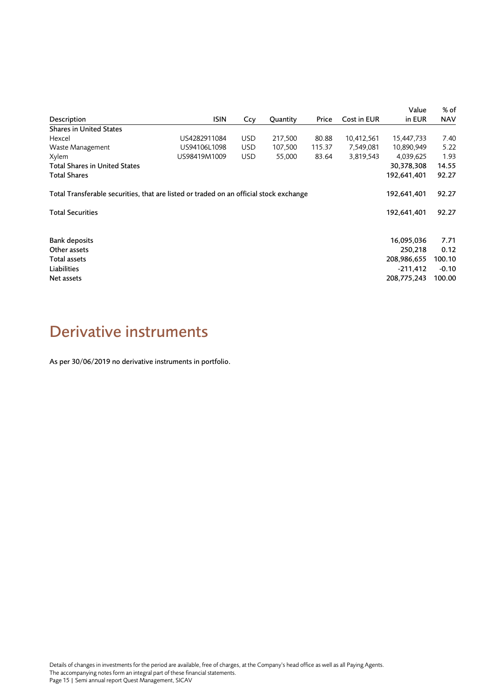|                                                                                        |              |            |          |        |             | Value       | % of       |
|----------------------------------------------------------------------------------------|--------------|------------|----------|--------|-------------|-------------|------------|
| Description                                                                            | <b>ISIN</b>  | Ccy        | Quantity | Price  | Cost in EUR | in EUR      | <b>NAV</b> |
| <b>Shares in United States</b>                                                         |              |            |          |        |             |             |            |
| Hexcel                                                                                 | US4282911084 | <b>USD</b> | 217,500  | 80.88  | 10,412,561  | 15,447,733  | 7.40       |
| Waste Management                                                                       | US94106L1098 | <b>USD</b> | 107,500  | 115.37 | 7,549,081   | 10,890,949  | 5.22       |
| Xylem                                                                                  | US98419M1009 | <b>USD</b> | 55,000   | 83.64  | 3,819,543   | 4,039,625   | 1.93       |
| <b>Total Shares in United States</b>                                                   |              |            |          |        |             | 30,378,308  | 14.55      |
| Total Shares                                                                           |              |            |          |        |             | 192,641,401 | 92.27      |
| Total Transferable securities, that are listed or traded on an official stock exchange |              |            |          |        |             | 192,641,401 | 92.27      |
| Total Securities                                                                       |              |            |          |        |             | 192,641,401 | 92.27      |
| <b>Bank deposits</b>                                                                   |              |            |          |        |             | 16,095,036  | 7.71       |
| Other assets                                                                           |              |            |          |        |             | 250.218     | 0.12       |
| Total assets                                                                           |              |            |          |        |             | 208,986,655 | 100.10     |
| Liabilities                                                                            |              |            |          |        |             | $-211,412$  | $-0.10$    |
| Net assets                                                                             |              |            |          |        |             | 208,775,243 | 100.00     |

## <span id="page-14-0"></span>Derivative instruments

As per 30/06/2019 no derivative instruments in portfolio.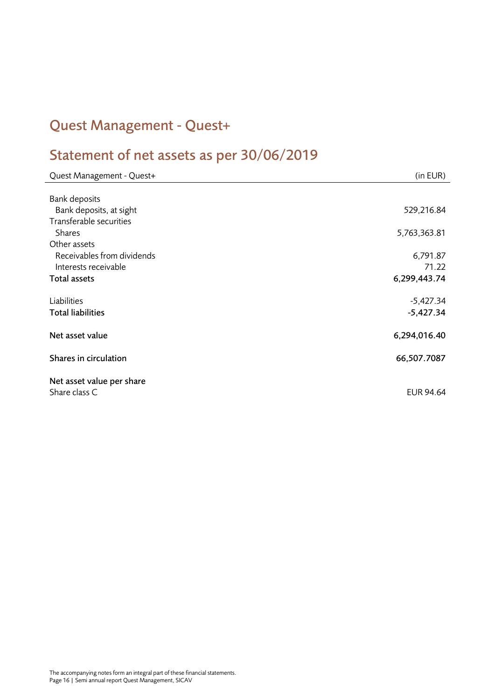## <span id="page-15-0"></span>Quest Management - Quest+

# <span id="page-15-1"></span>Statement of net assets as per 30/06/2019

| Quest Management - Quest+  | (in EUR)     |
|----------------------------|--------------|
|                            |              |
| <b>Bank deposits</b>       |              |
| Bank deposits, at sight    | 529,216.84   |
| Transferable securities    |              |
| <b>Shares</b>              | 5,763,363.81 |
| Other assets               |              |
| Receivables from dividends | 6,791.87     |
| Interests receivable       | 71.22        |
| Total assets               | 6,299,443.74 |
| Liabilities                | $-5,427.34$  |
| <b>Total liabilities</b>   | $-5,427.34$  |
| Net asset value            | 6,294,016.40 |
| Shares in circulation      | 66,507.7087  |
| Net asset value per share  |              |
| Share class C              | EUR 94.64    |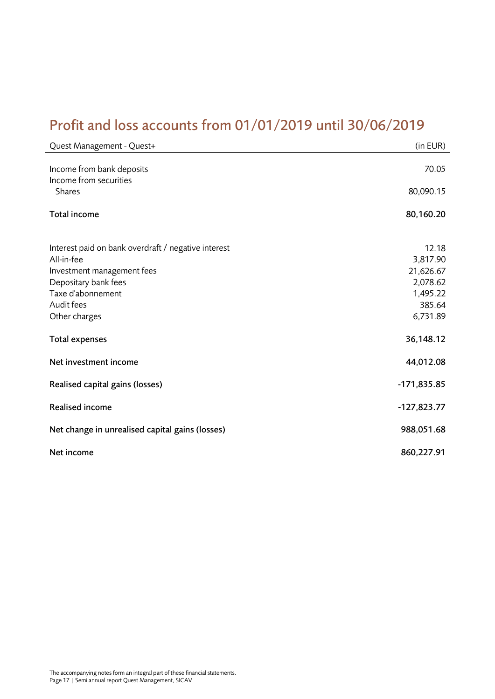## <span id="page-16-0"></span>Profit and loss accounts from 01/01/2019 until 30/06/2019

| Quest Management - Quest+                                                                                                                                                   | (in EUR)                                                                     |
|-----------------------------------------------------------------------------------------------------------------------------------------------------------------------------|------------------------------------------------------------------------------|
| Income from bank deposits<br>Income from securities<br><b>Shares</b>                                                                                                        | 70.05<br>80,090.15                                                           |
| Total income                                                                                                                                                                | 80,160.20                                                                    |
| Interest paid on bank overdraft / negative interest<br>All-in-fee<br>Investment management fees<br>Depositary bank fees<br>Taxe d'abonnement<br>Audit fees<br>Other charges | 12.18<br>3,817.90<br>21,626.67<br>2,078.62<br>1,495.22<br>385.64<br>6,731.89 |
| <b>Total expenses</b>                                                                                                                                                       | 36,148.12                                                                    |
| Net investment income                                                                                                                                                       | 44,012.08                                                                    |
| Realised capital gains (losses)                                                                                                                                             | $-171,835.85$                                                                |
| <b>Realised income</b>                                                                                                                                                      | $-127,823.77$                                                                |
| Net change in unrealised capital gains (losses)                                                                                                                             | 988,051.68                                                                   |
| Net income                                                                                                                                                                  | 860,227.91                                                                   |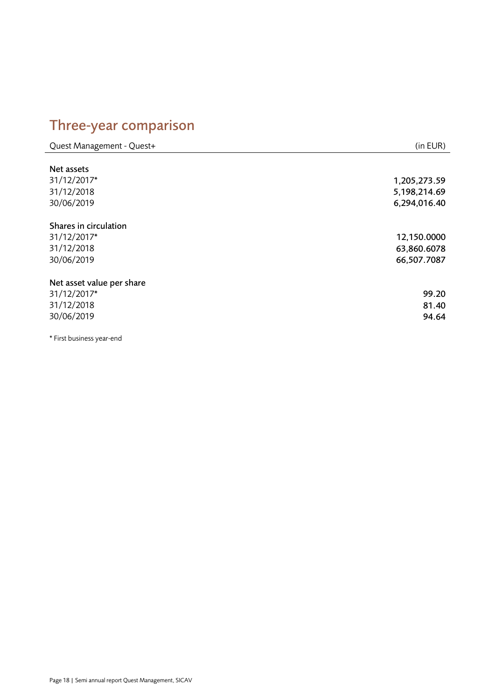# <span id="page-17-0"></span>Three-year comparison

| Quest Management - Quest+   | (in EUR)     |
|-----------------------------|--------------|
|                             |              |
| Net assets                  |              |
| 31/12/2017*                 | 1,205,273.59 |
| 31/12/2018                  | 5,198,214.69 |
| 30/06/2019                  | 6,294,016.40 |
|                             |              |
| Shares in circulation       |              |
| 31/12/2017*                 | 12,150.0000  |
| 31/12/2018                  | 63,860.6078  |
| 30/06/2019                  | 66,507.7087  |
|                             |              |
| Net asset value per share   |              |
| 31/12/2017*                 | 99.20        |
| 31/12/2018                  | 81.40        |
| 30/06/2019                  | 94.64        |
|                             |              |
| $*$ First business vaar and |              |

\* First business year-end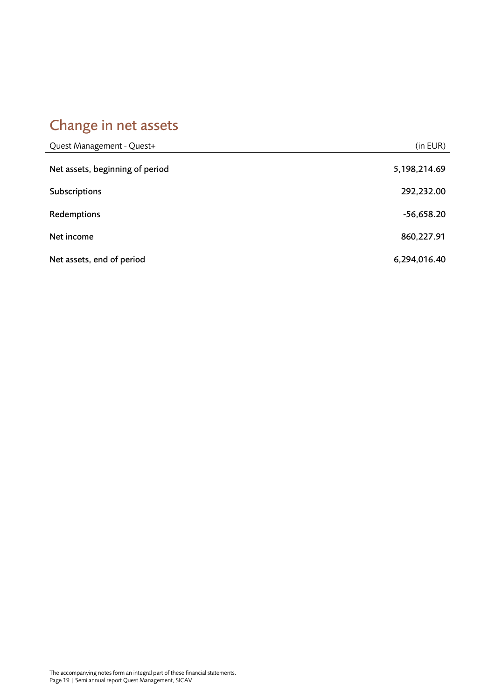# <span id="page-18-0"></span>Change in net assets

| Quest Management - Quest+       | (in EUR)     |
|---------------------------------|--------------|
| Net assets, beginning of period | 5,198,214.69 |
| Subscriptions                   | 292,232.00   |
| Redemptions                     | $-56,658.20$ |
| Net income                      | 860,227.91   |
| Net assets, end of period       | 6,294,016.40 |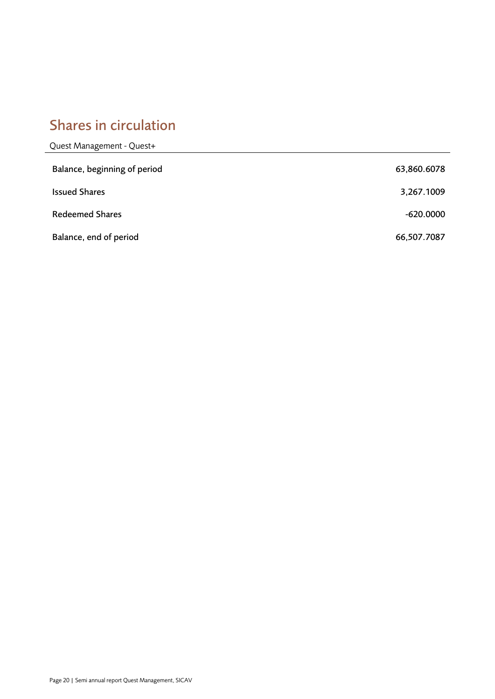### <span id="page-19-0"></span>Shares in circulation

| Quest Management - Quest+    |             |
|------------------------------|-------------|
| Balance, beginning of period | 63,860.6078 |
| <b>Issued Shares</b>         | 3,267.1009  |
| <b>Redeemed Shares</b>       | $-620.0000$ |
| Balance, end of period       | 66,507.7087 |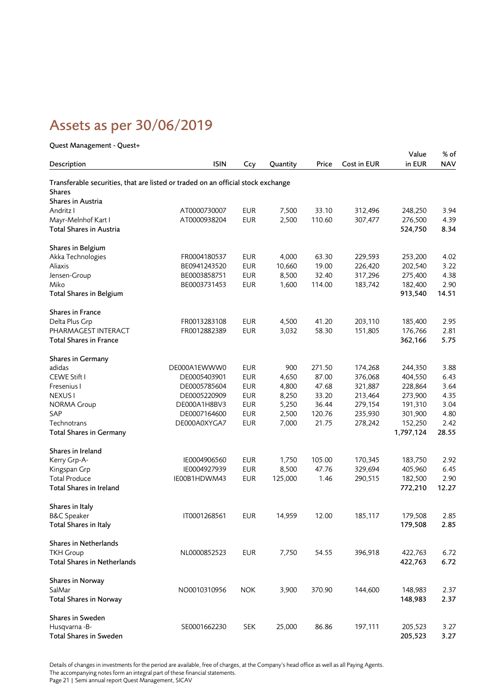# <span id="page-20-0"></span>Assets as per 30/06/2019

#### Quest Management - Quest+

|                                                                                                   |              |            |          |        |             | Value     | % of       |
|---------------------------------------------------------------------------------------------------|--------------|------------|----------|--------|-------------|-----------|------------|
| Description                                                                                       | <b>ISIN</b>  | Ccy        | Quantity | Price  | Cost in EUR | in EUR    | <b>NAV</b> |
| Transferable securities, that are listed or traded on an official stock exchange<br><b>Shares</b> |              |            |          |        |             |           |            |
| Shares in Austria                                                                                 |              |            |          |        |             |           |            |
| Andritz I                                                                                         | AT0000730007 | <b>EUR</b> | 7,500    | 33.10  | 312,496     | 248,250   | 3.94       |
| Mayr-Melnhof Kart I                                                                               | AT0000938204 | <b>EUR</b> | 2,500    | 110.60 | 307,477     | 276,500   | 4.39       |
| <b>Total Shares in Austria</b>                                                                    |              |            |          |        |             | 524,750   | 8.34       |
| Shares in Belgium                                                                                 |              |            |          |        |             |           |            |
| Akka Technologies                                                                                 | FR0004180537 | <b>EUR</b> | 4,000    | 63.30  | 229,593     | 253,200   | 4.02       |
| Aliaxis                                                                                           | BE0941243520 | <b>EUR</b> | 10,660   | 19.00  | 226,420     | 202,540   | 3.22       |
| Jensen-Group                                                                                      | BE0003858751 | <b>EUR</b> | 8,500    | 32.40  | 317,296     | 275,400   | 4.38       |
| Miko                                                                                              | BE0003731453 | <b>EUR</b> | 1,600    | 114.00 | 183,742     | 182,400   | 2.90       |
| Total Shares in Belgium                                                                           |              |            |          |        |             | 913,540   | 14.51      |
| <b>Shares in France</b>                                                                           |              |            |          |        |             |           |            |
| Delta Plus Grp                                                                                    | FR0013283108 | <b>EUR</b> | 4,500    | 41.20  | 203,110     | 185,400   | 2.95       |
| PHARMAGEST INTERACT                                                                               | FR0012882389 | <b>EUR</b> | 3,032    | 58.30  | 151,805     | 176,766   | 2.81       |
| <b>Total Shares in France</b>                                                                     |              |            |          |        |             | 362,166   | 5.75       |
| Shares in Germany                                                                                 |              |            |          |        |             |           |            |
| adidas                                                                                            | DE000A1EWWW0 | <b>EUR</b> | 900      | 271.50 | 174,268     | 244,350   | 3.88       |
| CEWE Stift I                                                                                      | DE0005403901 | <b>EUR</b> | 4,650    | 87.00  | 376,068     | 404,550   | 6.43       |
| Fresenius I                                                                                       | DE0005785604 | <b>EUR</b> | 4,800    | 47.68  | 321,887     | 228,864   | 3.64       |
| <b>NEXUS1</b>                                                                                     | DE0005220909 | <b>EUR</b> | 8,250    | 33.20  | 213,464     | 273,900   | 4.35       |
| <b>NORMA Group</b>                                                                                | DE000A1H8BV3 | <b>EUR</b> | 5,250    | 36.44  | 279,154     | 191,310   | 3.04       |
| SAP                                                                                               | DE0007164600 | <b>EUR</b> | 2,500    | 120.76 | 235,930     | 301,900   | 4.80       |
| Technotrans                                                                                       | DE000A0XYGA7 | <b>EUR</b> | 7,000    | 21.75  | 278,242     | 152,250   | 2.42       |
| <b>Total Shares in Germany</b>                                                                    |              |            |          |        |             | 1,797,124 | 28.55      |
| Shares in Ireland                                                                                 |              |            |          |        |             |           |            |
| Kerry Grp-A-                                                                                      | IE0004906560 | <b>EUR</b> | 1,750    | 105.00 | 170,345     | 183,750   | 2.92       |
| Kingspan Grp                                                                                      | IE0004927939 | <b>EUR</b> | 8,500    | 47.76  | 329,694     | 405,960   | 6.45       |
| <b>Total Produce</b>                                                                              | IE00B1HDWM43 | <b>EUR</b> | 125,000  | 1.46   | 290,515     | 182,500   | 2.90       |
| <b>Total Shares in Ireland</b>                                                                    |              |            |          |        |             | 772,210   | 12.27      |
| Shares in Italy                                                                                   |              |            |          |        |             |           |            |
| <b>B&amp;C</b> Speaker                                                                            | IT0001268561 | <b>EUR</b> | 14,959   | 12.00  | 185,117     | 179,508   | 2.85       |
| Total Shares in Italy                                                                             |              |            |          |        |             | 179,508   | 2.85       |
| Shares in Netherlands                                                                             |              |            |          |        |             |           |            |
| <b>TKH Group</b>                                                                                  | NL0000852523 | EUR        | 7,750    | 54.55  | 396,918     | 422,763   | 6.72       |
| Total Shares in Netherlands                                                                       |              |            |          |        |             | 422,763   | 6.72       |
| Shares in Norway                                                                                  |              |            |          |        |             |           |            |
| SalMar                                                                                            | NO0010310956 | <b>NOK</b> | 3,900    | 370.90 | 144,600     | 148,983   | 2.37       |
| <b>Total Shares in Norway</b>                                                                     |              |            |          |        |             | 148,983   | 2.37       |
| Shares in Sweden                                                                                  |              |            |          |        |             |           |            |
| Husqvarna-B-                                                                                      | SE0001662230 | <b>SEK</b> | 25,000   | 86.86  | 197,111     | 205,523   | 3.27       |
| Total Shares in Sweden                                                                            |              |            |          |        |             | 205,523   | 3.27       |

Details of changes in investments for the period are available, free of charges, at the Company's head office as well as all Paying Agents. The accompanying notes form an integral part of these financial statements. Page 21 | Semi annual report Quest Management, SICAV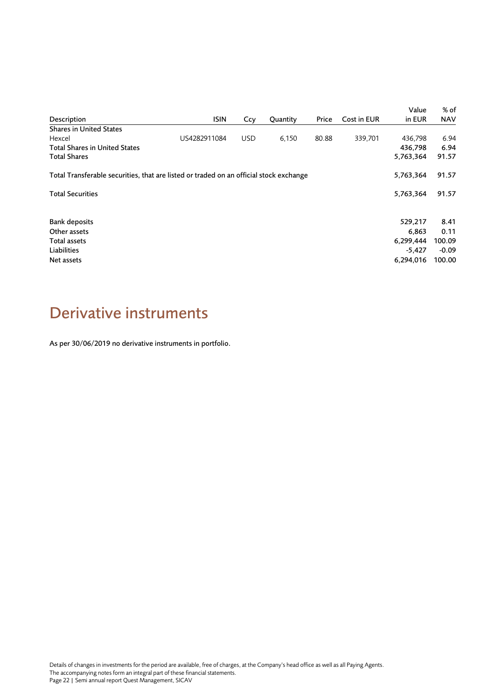|                                                                                        |              |            |          |       |             | Value     | % of       |
|----------------------------------------------------------------------------------------|--------------|------------|----------|-------|-------------|-----------|------------|
| Description                                                                            | <b>ISIN</b>  | Ccy        | Quantity | Price | Cost in EUR | in EUR    | <b>NAV</b> |
| <b>Shares in United States</b>                                                         |              |            |          |       |             |           |            |
| Hexcel                                                                                 | US4282911084 | <b>USD</b> | 6,150    | 80.88 | 339,701     | 436,798   | 6.94       |
| <b>Total Shares in United States</b>                                                   |              |            |          |       |             | 436,798   | 6.94       |
| <b>Total Shares</b>                                                                    |              |            |          |       |             | 5,763,364 | 91.57      |
| Total Transferable securities, that are listed or traded on an official stock exchange |              |            |          |       |             | 5,763,364 | 91.57      |
| <b>Total Securities</b>                                                                |              |            |          |       |             | 5,763,364 | 91.57      |
| Bank deposits                                                                          |              |            |          |       |             | 529,217   | 8.41       |
| Other assets                                                                           |              |            |          |       |             | 6,863     | 0.11       |
| Total assets                                                                           |              |            |          |       |             | 6,299,444 | 100.09     |
| Liabilities                                                                            |              |            |          |       |             | -5,427    | $-0.09$    |
| Net assets                                                                             |              |            |          |       |             | 6,294,016 | 100.00     |

## <span id="page-21-0"></span>Derivative instruments

As per 30/06/2019 no derivative instruments in portfolio.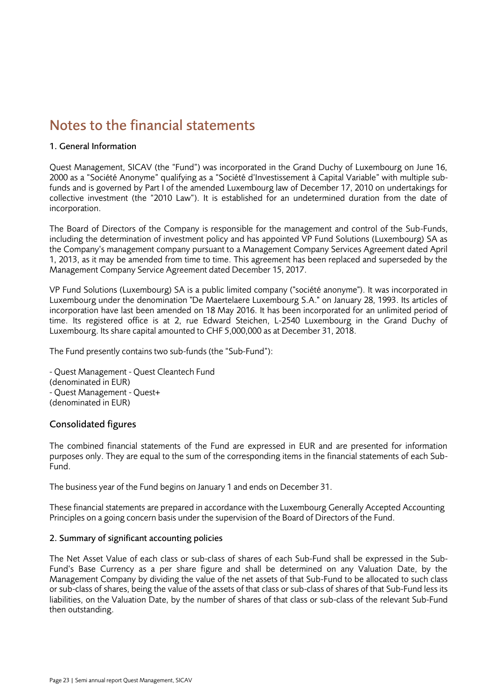### <span id="page-22-0"></span>Notes to the financial statements

#### 1. General Information

Quest Management, SICAV (the "Fund") was incorporated in the Grand Duchy of Luxembourg on June 16, 2000 as a "Société Anonyme" qualifying as a "Société d'Investissement à Capital Variable" with multiple subfunds and is governed by Part I of the amended Luxembourg law of December 17, 2010 on undertakings for collective investment (the "2010 Law"). It is established for an undetermined duration from the date of incorporation.

The Board of Directors of the Company is responsible for the management and control of the Sub-Funds, including the determination of investment policy and has appointed VP Fund Solutions (Luxembourg) SA as the Company's management company pursuant to a Management Company Services Agreement dated April 1, 2013, as it may be amended from time to time. This agreement has been replaced and superseded by the Management Company Service Agreement dated December 15, 2017.

VP Fund Solutions (Luxembourg) SA is a public limited company ("société anonyme"). It was incorporated in Luxembourg under the denomination "De Maertelaere Luxembourg S.A." on January 28, 1993. Its articles of incorporation have last been amended on 18 May 2016. It has been incorporated for an unlimited period of time. Its registered office is at 2, rue Edward Steichen, L-2540 Luxembourg in the Grand Duchy of Luxembourg. Its share capital amounted to CHF 5,000,000 as at December 31, 2018.

The Fund presently contains two sub-funds (the "Sub-Fund"):

- Quest Management - Quest Cleantech Fund (denominated in EUR) - Quest Management - Quest+ (denominated in EUR)

#### Consolidated figures

The combined financial statements of the Fund are expressed in EUR and are presented for information purposes only. They are equal to the sum of the corresponding items in the financial statements of each Sub-Fund.

The business year of the Fund begins on January 1 and ends on December 31.

These financial statements are prepared in accordance with the Luxembourg Generally Accepted Accounting Principles on a going concern basis under the supervision of the Board of Directors of the Fund.

#### 2. Summary of significant accounting policies

The Net Asset Value of each class or sub-class of shares of each Sub-Fund shall be expressed in the Sub-Fund's Base Currency as a per share figure and shall be determined on any Valuation Date, by the Management Company by dividing the value of the net assets of that Sub-Fund to be allocated to such class or sub-class of shares, being the value of the assets of that class or sub-class of shares of that Sub-Fund less its liabilities, on the Valuation Date, by the number of shares of that class or sub-class of the relevant Sub-Fund then outstanding.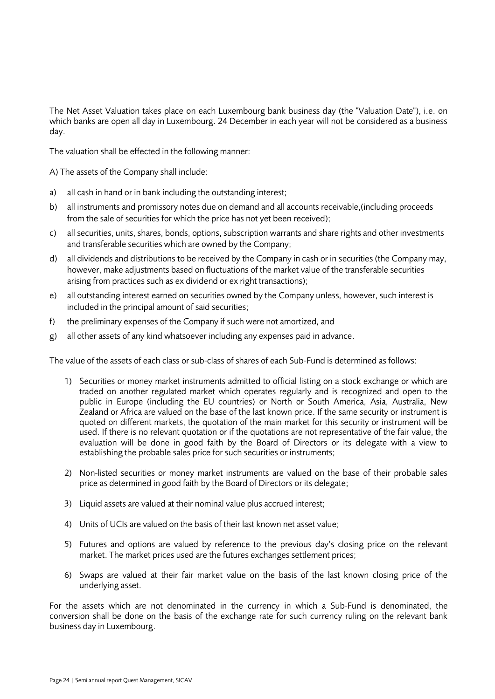The Net Asset Valuation takes place on each Luxembourg bank business day (the "Valuation Date"), i.e. on which banks are open all day in Luxembourg. 24 December in each year will not be considered as a business day.

The valuation shall be effected in the following manner:

A) The assets of the Company shall include:

- a) all cash in hand or in bank including the outstanding interest;
- b) all instruments and promissory notes due on demand and all accounts receivable,(including proceeds from the sale of securities for which the price has not yet been received);
- c) all securities, units, shares, bonds, options, subscription warrants and share rights and other investments and transferable securities which are owned by the Company;
- d) all dividends and distributions to be received by the Company in cash or in securities (the Company may, however, make adjustments based on fluctuations of the market value of the transferable securities arising from practices such as ex dividend or ex right transactions);
- e) all outstanding interest earned on securities owned by the Company unless, however, such interest is included in the principal amount of said securities;
- f) the preliminary expenses of the Company if such were not amortized, and
- g) all other assets of any kind whatsoever including any expenses paid in advance.

The value of the assets of each class or sub-class of shares of each Sub-Fund is determined as follows:

- 1) Securities or money market instruments admitted to official listing on a stock exchange or which are traded on another regulated market which operates regularly and is recognized and open to the public in Europe (including the EU countries) or North or South America, Asia, Australia, New Zealand or Africa are valued on the base of the last known price. If the same security or instrument is quoted on different markets, the quotation of the main market for this security or instrument will be used. If there is no relevant quotation or if the quotations are not representative of the fair value, the evaluation will be done in good faith by the Board of Directors or its delegate with a view to establishing the probable sales price for such securities or instruments;
- 2) Non-listed securities or money market instruments are valued on the base of their probable sales price as determined in good faith by the Board of Directors or its delegate;
- 3) Liquid assets are valued at their nominal value plus accrued interest;
- 4) Units of UCIs are valued on the basis of their last known net asset value;
- 5) Futures and options are valued by reference to the previous day's closing price on the relevant market. The market prices used are the futures exchanges settlement prices;
- 6) Swaps are valued at their fair market value on the basis of the last known closing price of the underlying asset.

For the assets which are not denominated in the currency in which a Sub-Fund is denominated, the conversion shall be done on the basis of the exchange rate for such currency ruling on the relevant bank business day in Luxembourg.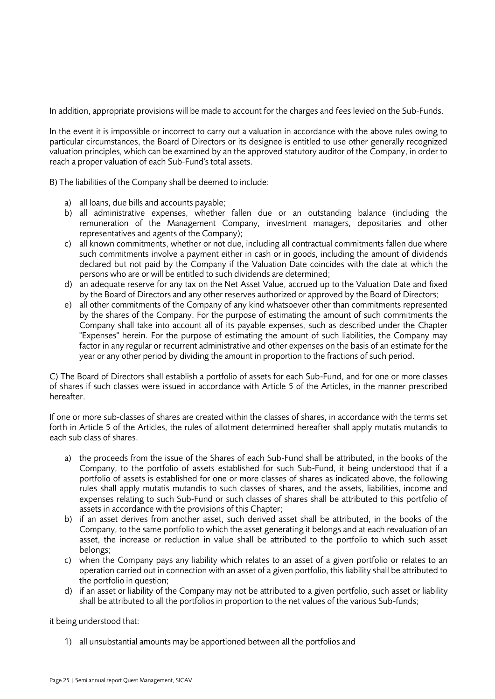In addition, appropriate provisions will be made to account for the charges and fees levied on the Sub-Funds.

In the event it is impossible or incorrect to carry out a valuation in accordance with the above rules owing to particular circumstances, the Board of Directors or its designee is entitled to use other generally recognized valuation principles, which can be examined by an the approved statutory auditor of the Company, in order to reach a proper valuation of each Sub-Fund's total assets.

B) The liabilities of the Company shall be deemed to include:

- a) all loans, due bills and accounts payable;
- b) all administrative expenses, whether fallen due or an outstanding balance (including the remuneration of the Management Company, investment managers, depositaries and other representatives and agents of the Company);
- c) all known commitments, whether or not due, including all contractual commitments fallen due where such commitments involve a payment either in cash or in goods, including the amount of dividends declared but not paid by the Company if the Valuation Date coincides with the date at which the persons who are or will be entitled to such dividends are determined;
- d) an adequate reserve for any tax on the Net Asset Value, accrued up to the Valuation Date and fixed by the Board of Directors and any other reserves authorized or approved by the Board of Directors;
- e) all other commitments of the Company of any kind whatsoever other than commitments represented by the shares of the Company. For the purpose of estimating the amount of such commitments the Company shall take into account all of its payable expenses, such as described under the Chapter "Expenses" herein. For the purpose of estimating the amount of such liabilities, the Company may factor in any regular or recurrent administrative and other expenses on the basis of an estimate for the year or any other period by dividing the amount in proportion to the fractions of such period.

C) The Board of Directors shall establish a portfolio of assets for each Sub-Fund, and for one or more classes of shares if such classes were issued in accordance with Article 5 of the Articles, in the manner prescribed hereafter.

If one or more sub-classes of shares are created within the classes of shares, in accordance with the terms set forth in Article 5 of the Articles, the rules of allotment determined hereafter shall apply mutatis mutandis to each sub class of shares.

- a) the proceeds from the issue of the Shares of each Sub-Fund shall be attributed, in the books of the Company, to the portfolio of assets established for such Sub-Fund, it being understood that if a portfolio of assets is established for one or more classes of shares as indicated above, the following rules shall apply mutatis mutandis to such classes of shares, and the assets, liabilities, income and expenses relating to such Sub-Fund or such classes of shares shall be attributed to this portfolio of assets in accordance with the provisions of this Chapter;
- b) if an asset derives from another asset, such derived asset shall be attributed, in the books of the Company, to the same portfolio to which the asset generating it belongs and at each revaluation of an asset, the increase or reduction in value shall be attributed to the portfolio to which such asset belongs;
- c) when the Company pays any liability which relates to an asset of a given portfolio or relates to an operation carried out in connection with an asset of a given portfolio, this liability shall be attributed to the portfolio in question;
- d) if an asset or liability of the Company may not be attributed to a given portfolio, such asset or liability shall be attributed to all the portfolios in proportion to the net values of the various Sub-funds;

it being understood that:

1) all unsubstantial amounts may be apportioned between all the portfolios and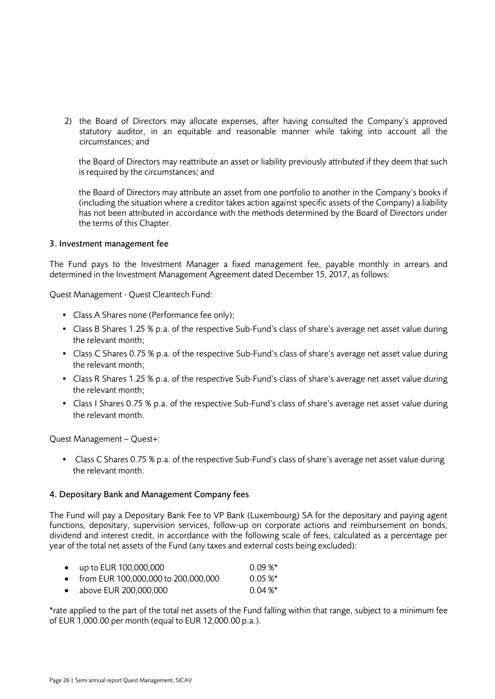2) the Board of Directors may allocate expenses, after having consulted the Company's approved statutory auditor, in an equitable and reasonable manner while taking into account all the circumstances; and

the Board of Directors may reattribute an asset or liability previously attributed if they deem that such is required by the circumstances; and

the Board of Directors may attribute an asset from one portfolio to another in the Company's books if (including the situation where a creditor takes action against specific assets of the Company) a liability has not been attributed in accordance with the methods determined by the Board of Directors under the terms of this Chapter.

#### 3. Investment management fee

The Fund pays to the Investment Manager a fixed management fee, payable monthly in arrears and determined in the Investment Management Agreement dated December 15, 2017, as follows:

Quest Management - Quest Cleantech Fund:

- Class A Shares none (Performance fee only);
- Class B Shares 1.25 % p.a. of the respective Sub-Fund's class of share's average net asset value during the relevant month;
- Class C Shares 0.75 % p.a. of the respective Sub-Fund's class of share's average net asset value during the relevant month;
- Class R Shares 1.25 % p.a. of the respective Sub-Fund's class of share's average net asset value during the relevant month;
- Class I Shares 0.75 % p.a. of the respective Sub-Fund's class of share's average net asset value during the relevant month.

Quest Management – Quest+:

• Class C Shares 0.75 % p.a. of the respective Sub-Fund's class of share's average net asset value during the relevant month.

#### 4. Depositary Bank and Management Company fees

The Fund will pay a Depositary Bank Fee to VP Bank (Luxembourg) SA for the depositary and paying agent functions, depositary, supervision services, follow-up on corporate actions and reimbursement on bonds, dividend and interest credit, in accordance with the following scale of fees, calculated as a percentage per year of the total net assets of the Fund (any taxes and external costs being excluded):

|  | up to EUR 100,000,000 |            | $0.09\,\%^*$ |
|--|-----------------------|------------|--------------|
|  | -.                    | ---------- |              |

from EUR 100,000,000 to 200,000,000 0.05 %\* above EUR 200,000,000 0.04 %\*

\*rate applied to the part of the total net assets of the Fund falling within that range, subject to a minimum fee of EUR 1,000.00 per month (equal to EUR 12,000.00 p.a.).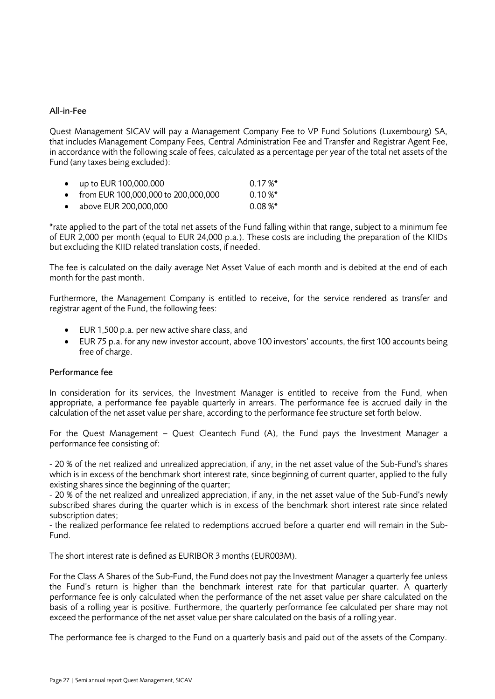#### All-in-Fee

Quest Management SICAV will pay a Management Company Fee to VP Fund Solutions (Luxembourg) SA, that includes Management Company Fees, Central Administration Fee and Transfer and Registrar Agent Fee, in accordance with the following scale of fees, calculated as a percentage per year of the total net assets of the Fund (any taxes being excluded):

| • up to EUR 100,000,000               | $0.17\%$ * |
|---------------------------------------|------------|
| • from EUR 100,000,000 to 200,000,000 | $0.10 \%$  |
| $\bullet$ above FUR 200,000,000       | $0.08 \%$  |

\*rate applied to the part of the total net assets of the Fund falling within that range, subject to a minimum fee of EUR 2,000 per month (equal to EUR 24,000 p.a.). These costs are including the preparation of the KIIDs but excluding the KIID related translation costs, if needed.

The fee is calculated on the daily average Net Asset Value of each month and is debited at the end of each month for the past month.

Furthermore, the Management Company is entitled to receive, for the service rendered as transfer and registrar agent of the Fund, the following fees:

- EUR 1,500 p.a. per new active share class, and
- EUR 75 p.a. for any new investor account, above 100 investors' accounts, the first 100 accounts being free of charge.

#### Performance fee

In consideration for its services, the Investment Manager is entitled to receive from the Fund, when appropriate, a performance fee payable quarterly in arrears. The performance fee is accrued daily in the calculation of the net asset value per share, according to the performance fee structure set forth below.

For the Quest Management – Quest Cleantech Fund (A), the Fund pays the Investment Manager a performance fee consisting of:

- 20 % of the net realized and unrealized appreciation, if any, in the net asset value of the Sub-Fund's shares which is in excess of the benchmark short interest rate, since beginning of current quarter, applied to the fully existing shares since the beginning of the quarter;

- 20 % of the net realized and unrealized appreciation, if any, in the net asset value of the Sub-Fund's newly subscribed shares during the quarter which is in excess of the benchmark short interest rate since related subscription dates;

- the realized performance fee related to redemptions accrued before a quarter end will remain in the Sub-Fund.

The short interest rate is defined as EURIBOR 3 months (EUR003M).

For the Class A Shares of the Sub-Fund, the Fund does not pay the Investment Manager a quarterly fee unless the Fund's return is higher than the benchmark interest rate for that particular quarter. A quarterly performance fee is only calculated when the performance of the net asset value per share calculated on the basis of a rolling year is positive. Furthermore, the quarterly performance fee calculated per share may not exceed the performance of the net asset value per share calculated on the basis of a rolling year.

The performance fee is charged to the Fund on a quarterly basis and paid out of the assets of the Company.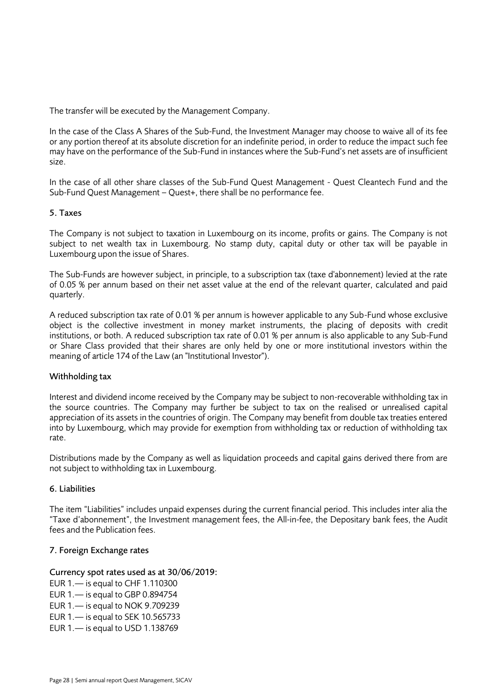The transfer will be executed by the Management Company.

In the case of the Class A Shares of the Sub-Fund, the Investment Manager may choose to waive all of its fee or any portion thereof at its absolute discretion for an indefinite period, in order to reduce the impact such fee may have on the performance of the Sub-Fund in instances where the Sub-Fund's net assets are of insufficient size.

In the case of all other share classes of the Sub-Fund Quest Management - Quest Cleantech Fund and the Sub-Fund Quest Management – Quest+, there shall be no performance fee.

#### 5. Taxes

The Company is not subject to taxation in Luxembourg on its income, profits or gains. The Company is not subject to net wealth tax in Luxembourg. No stamp duty, capital duty or other tax will be payable in Luxembourg upon the issue of Shares.

The Sub-Funds are however subject, in principle, to a subscription tax (taxe d'abonnement) levied at the rate of 0.05 % per annum based on their net asset value at the end of the relevant quarter, calculated and paid quarterly.

A reduced subscription tax rate of 0.01 % per annum is however applicable to any Sub-Fund whose exclusive object is the collective investment in money market instruments, the placing of deposits with credit institutions, or both. A reduced subscription tax rate of 0.01 % per annum is also applicable to any Sub-Fund or Share Class provided that their shares are only held by one or more institutional investors within the meaning of article 174 of the Law (an "Institutional Investor").

#### Withholding tax

Interest and dividend income received by the Company may be subject to non-recoverable withholding tax in the source countries. The Company may further be subject to tax on the realised or unrealised capital appreciation of its assets in the countries of origin. The Company may benefit from double tax treaties entered into by Luxembourg, which may provide for exemption from withholding tax or reduction of withholding tax rate.

Distributions made by the Company as well as liquidation proceeds and capital gains derived there from are not subject to withholding tax in Luxembourg.

#### 6. Liabilities

The item "Liabilities" includes unpaid expenses during the current financial period. This includes inter alia the "Taxe d'abonnement", the Investment management fees, the All-in-fee, the Depositary bank fees, the Audit fees and the Publication fees.

#### 7. Foreign Exchange rates

#### Currency spot rates used as at 30/06/2019:

EUR 1.— is equal to CHF 1.110300 EUR 1.— is equal to GBP 0.894754 EUR 1.— is equal to NOK 9.709239 EUR 1.— is equal to SEK 10.565733 EUR 1.— is equal to USD 1.138769